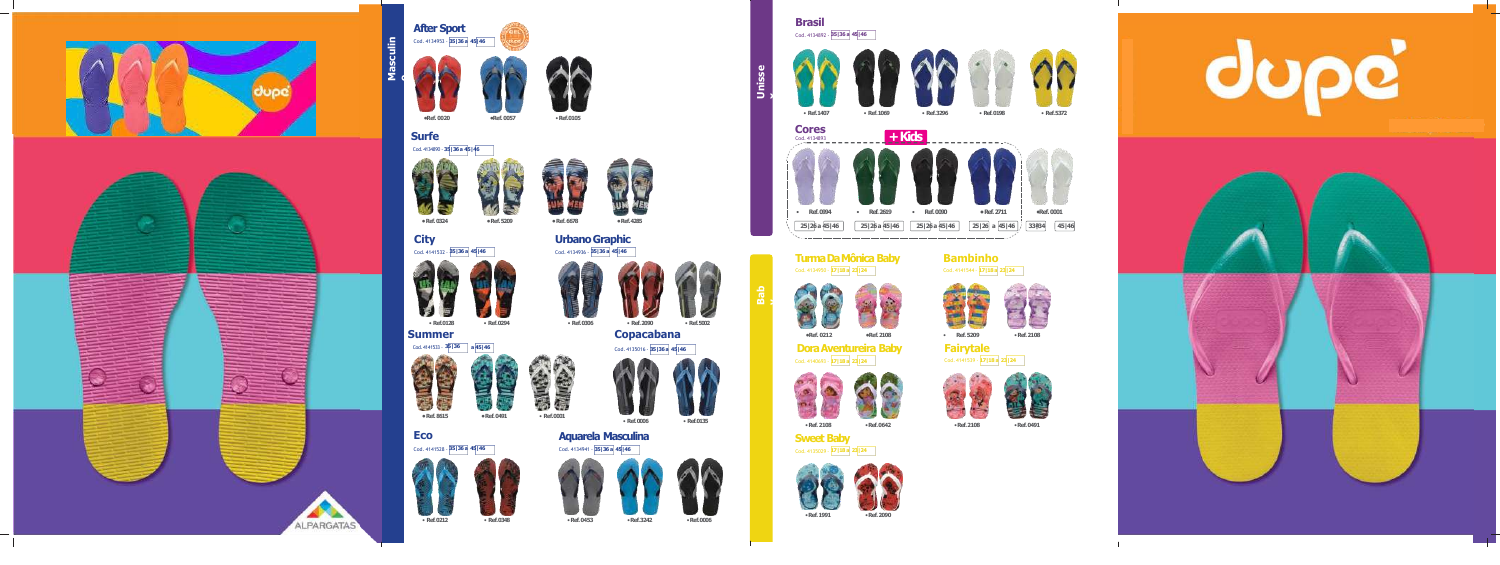## **Turma Da Mônica Baby** Cod. 4134950 - **17|18 a 23|24**











**Dora Aventureira Baby** Cod. 4140693 - **17|18 a 23|24**

• **Ref.5002**

• **Ref.5209**







•**Ref.0642** •**Ref.2108** •**Ref.0491**







**Fairytale** Cod. 4141539 - **17|18 a 23|24**





**Sweet Baby** Cod. 4135029 - **17|18 a 23|24**



**Brasil**







**Ba b**

**y**